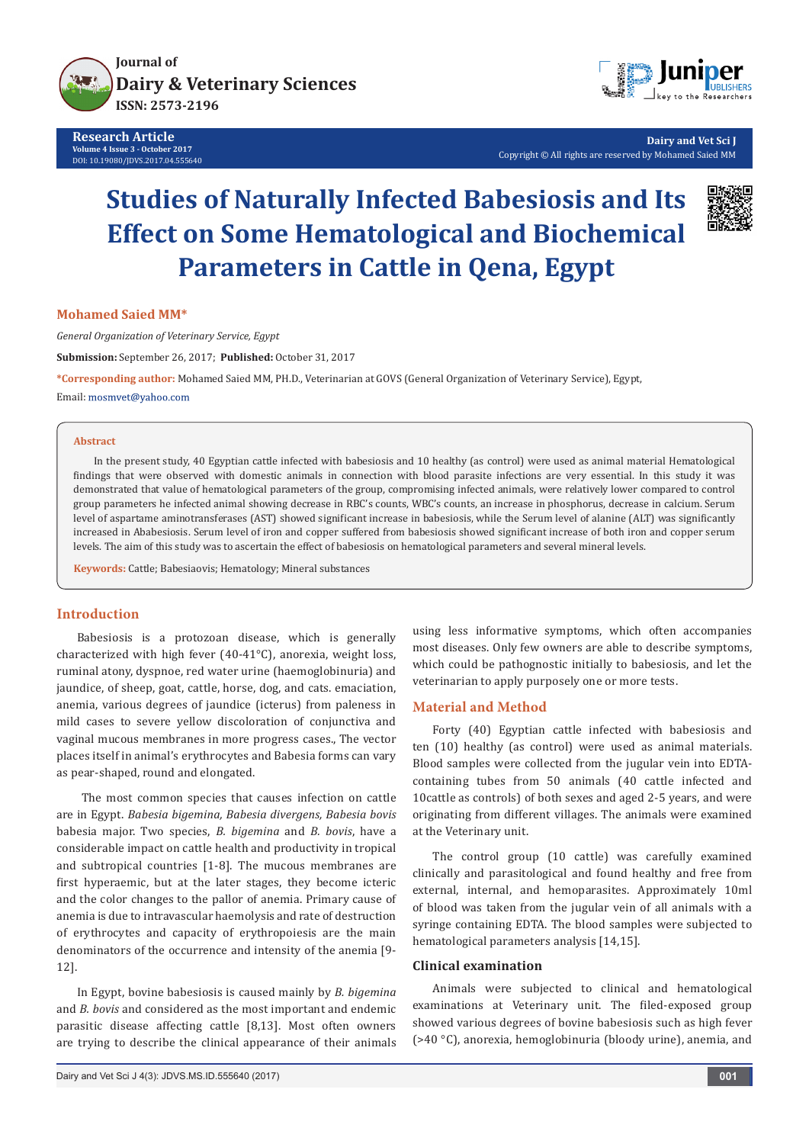

**Research Article Volume 4 Issue 3 - October 2017** DOI: [10.19080/JDVS.2017.04.555640](http://dx.doi.org/10.19080/JDVS.2017.04.555640)



**Dairy and Vet Sci J** Copyright © All rights are reserved by Mohamed Saied MM

# **Studies of Naturally Infected Babesiosis and Its Effect on Some Hematological and Biochemical Parameters in Cattle in Qena, Egypt**



**Mohamed Saied MM\***

*General Organization of Veterinary Service, Egypt* **Submission:** September 26, 2017; **Published:** October 31, 2017

**\*Corresponding author:** Mohamed Saied MM, PH.D., Veterinarian at GOVS (General Organization of Veterinary Service), Egypt,

Email: mosmvet@yahoo.com

#### **Abstract**

In the present study, 40 Egyptian cattle infected with babesiosis and 10 healthy (as control) were used as animal material Hematological findings that were observed with domestic animals in connection with blood parasite infections are very essential. In this study it was demonstrated that value of hematological parameters of the group, compromising infected animals, were relatively lower compared to control group parameters he infected animal showing decrease in RBC's counts, WBC's counts, an increase in phosphorus, decrease in calcium. Serum level of aspartame aminotransferases (AST) showed significant increase in babesiosis, while the Serum level of alanine (ALT) was significantly increased in Ababesiosis. Serum level of iron and copper suffered from babesiosis showed significant increase of both iron and copper serum levels. The aim of this study was to ascertain the effect of babesiosis on hematological parameters and several mineral levels.

**Keywords:** Cattle; Babesiaovis; Hematology; Mineral substances

# **Introduction**

Babesiosis is a protozoan disease, which is generally characterized with high fever (40-41°C), anorexia, weight loss, ruminal atony, dyspnoe, red water urine (haemoglobinuria) and jaundice, of sheep, goat, cattle, horse, dog, and cats. emaciation, anemia, various degrees of jaundice (icterus) from paleness in mild cases to severe yellow discoloration of conjunctiva and vaginal mucous membranes in more progress cases., The vector places itself in animal's erythrocytes and Babesia forms can vary as pear-shaped, round and elongated.

 The most common species that causes infection on cattle are in Egypt. *Babesia bigemina, Babesia divergens, Babesia bovis* babesia major. Two species, *B. bigemina* and *B. bovis*, have a considerable impact on cattle health and productivity in tropical and subtropical countries [1-8]. The mucous membranes are first hyperaemic, but at the later stages, they become icteric and the color changes to the pallor of anemia. Primary cause of anemia is due to intravascular haemolysis and rate of destruction of erythrocytes and capacity of erythropoiesis are the main denominators of the occurrence and intensity of the anemia [9- 12].

In Egypt, bovine babesiosis is caused mainly by *B. bigemina* and *B. bovis* and considered as the most important and endemic parasitic disease affecting cattle [8,13]. Most often owners are trying to describe the clinical appearance of their animals using less informative symptoms, which often accompanies most diseases. Only few owners are able to describe symptoms, which could be pathognostic initially to babesiosis, and let the veterinarian to apply purposely one or more tests.

### **Material and Method**

Forty (40) Egyptian cattle infected with babesiosis and ten (10) healthy (as control) were used as animal materials. Blood samples were collected from the jugular vein into EDTAcontaining tubes from 50 animals (40 cattle infected and 10cattle as controls) of both sexes and aged 2-5 years, and were originating from different villages. The animals were examined at the Veterinary unit.

The control group (10 cattle) was carefully examined clinically and parasitological and found healthy and free from external, internal, and hemoparasites. Approximately 10ml of blood was taken from the jugular vein of all animals with a syringe containing EDTA. The blood samples were subjected to hematological parameters analysis [14,15].

## **Clinical examination**

Animals were subjected to clinical and hematological examinations at Veterinary unit. The filed-exposed group showed various degrees of bovine babesiosis such as high fever (>40 °C), anorexia, hemoglobinuria (bloody urine), anemia, and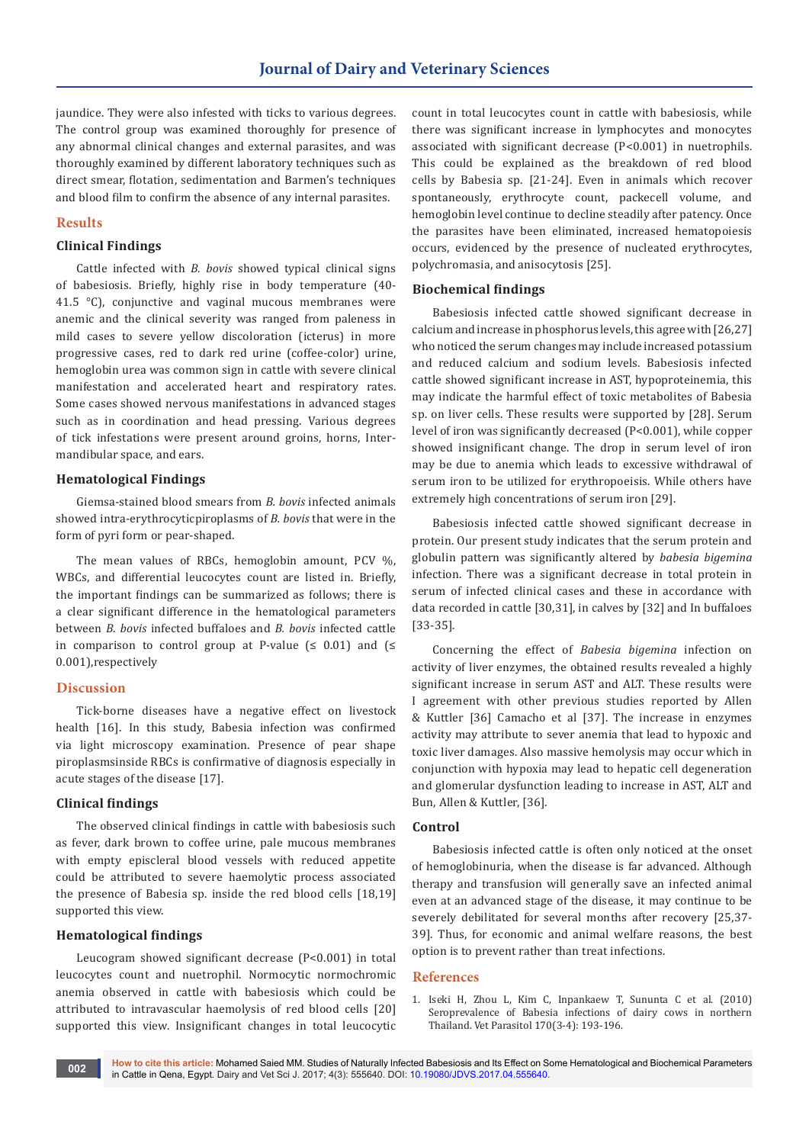jaundice. They were also infested with ticks to various degrees. The control group was examined thoroughly for presence of any abnormal clinical changes and external parasites, and was thoroughly examined by different laboratory techniques such as direct smear, flotation, sedimentation and Barmen's techniques and blood film to confirm the absence of any internal parasites.

# **Results**

# **Clinical Findings**

Cattle infected with *B. bovis* showed typical clinical signs of babesiosis. Briefly, highly rise in body temperature (40- 41.5 °C), conjunctive and vaginal mucous membranes were anemic and the clinical severity was ranged from paleness in mild cases to severe yellow discoloration (icterus) in more progressive cases, red to dark red urine (coffee-color) urine, hemoglobin urea was common sign in cattle with severe clinical manifestation and accelerated heart and respiratory rates. Some cases showed nervous manifestations in advanced stages such as in coordination and head pressing. Various degrees of tick infestations were present around groins, horns, Intermandibular space, and ears.

### **Hematological Findings**

Giemsa-stained blood smears from *B. bovis* infected animals showed intra-erythrocyticpiroplasms of *B. bovis* that were in the form of pyri form or pear-shaped.

The mean values of RBCs, hemoglobin amount, PCV %, WBCs, and differential leucocytes count are listed in. Briefly, the important findings can be summarized as follows; there is a clear significant difference in the hematological parameters between *B. bovis* infected buffaloes and *B. bovis* infected cattle in comparison to control group at P-value ( $\leq 0.01$ ) and ( $\leq$ 0.001),respectively

## **Discussion**

Tick-borne diseases have a negative effect on livestock health [16]. In this study, Babesia infection was confirmed via light microscopy examination. Presence of pear shape piroplasmsinside RBCs is confirmative of diagnosis especially in acute stages of the disease [17].

## **Clinical findings**

The observed clinical findings in cattle with babesiosis such as fever, dark brown to coffee urine, pale mucous membranes with empty episcleral blood vessels with reduced appetite could be attributed to severe haemolytic process associated the presence of Babesia sp. inside the red blood cells [18,19] supported this view.

## **Hematological findings**

Leucogram showed significant decrease (P<0.001) in total leucocytes count and nuetrophil. Normocytic normochromic anemia observed in cattle with babesiosis which could be attributed to intravascular haemolysis of red blood cells [20] supported this view. Insignificant changes in total leucocytic

count in total leucocytes count in cattle with babesiosis, while there was significant increase in lymphocytes and monocytes associated with significant decrease (P<0.001) in nuetrophils. This could be explained as the breakdown of red blood cells by Babesia sp. [21-24]. Even in animals which recover spontaneously, erythrocyte count, packecell volume, and hemoglobin level continue to decline steadily after patency. Once the parasites have been eliminated, increased hematopoiesis occurs, evidenced by the presence of nucleated erythrocytes, polychromasia, and anisocytosis [25].

# **Biochemical findings**

Babesiosis infected cattle showed significant decrease in calcium and increase in phosphorus levels, this agree with [26,27] who noticed the serum changes may include increased potassium and reduced calcium and sodium levels. Babesiosis infected cattle showed significant increase in AST, hypoproteinemia, this may indicate the harmful effect of toxic metabolites of Babesia sp. on liver cells. These results were supported by [28]. Serum level of iron was significantly decreased (P<0.001), while copper showed insignificant change. The drop in serum level of iron may be due to anemia which leads to excessive withdrawal of serum iron to be utilized for erythropoeisis. While others have extremely high concentrations of serum iron [29].

Babesiosis infected cattle showed significant decrease in protein. Our present study indicates that the serum protein and globulin pattern was significantly altered by *babesia bigemina* infection. There was a significant decrease in total protein in serum of infected clinical cases and these in accordance with data recorded in cattle [30,31], in calves by [32] and In buffaloes [33-35].

Concerning the effect of *Babesia bigemina* infection on activity of liver enzymes, the obtained results revealed a highly significant increase in serum AST and ALT. These results were I agreement with other previous studies reported by Allen & Kuttler [36] Camacho et al [37]. The increase in enzymes activity may attribute to sever anemia that lead to hypoxic and toxic liver damages. Also massive hemolysis may occur which in conjunction with hypoxia may lead to hepatic cell degeneration and glomerular dysfunction leading to increase in AST, ALT and Bun, Allen & Kuttler, [36].

### **Control**

Babesiosis infected cattle is often only noticed at the onset of hemoglobinuria, when the disease is far advanced. Although therapy and transfusion will generally save an infected animal even at an advanced stage of the disease, it may continue to be severely debilitated for several months after recovery [25,37- 39]. Thus, for economic and animal welfare reasons, the best option is to prevent rather than treat infections.

#### **References**

1. [Iseki H, Zhou L, Kim C, Inpankaew T, Sununta C et al. \(2010\)](https://www.ncbi.nlm.nih.gov/pubmed/20363078)  [Seroprevalence of Babesia infections of dairy cows in northern](https://www.ncbi.nlm.nih.gov/pubmed/20363078)  [Thailand. Vet Parasitol 170\(3-4\): 193-196.](https://www.ncbi.nlm.nih.gov/pubmed/20363078)

**How to cite this article:** Mohamed Saied MM. Studies of Naturally Infected Babesiosis and Its Effect on Some Hematological and Biochemical Parameters in Cattle in Qena, Egypt. Dairy and Vet Sci J. 2017; 4(3): 555640. DOI: [10.19080/JDVS.2017.04.555640.](http://dx.doi.org/10.19080/JDVS.2017.04.555640) **<sup>002</sup>**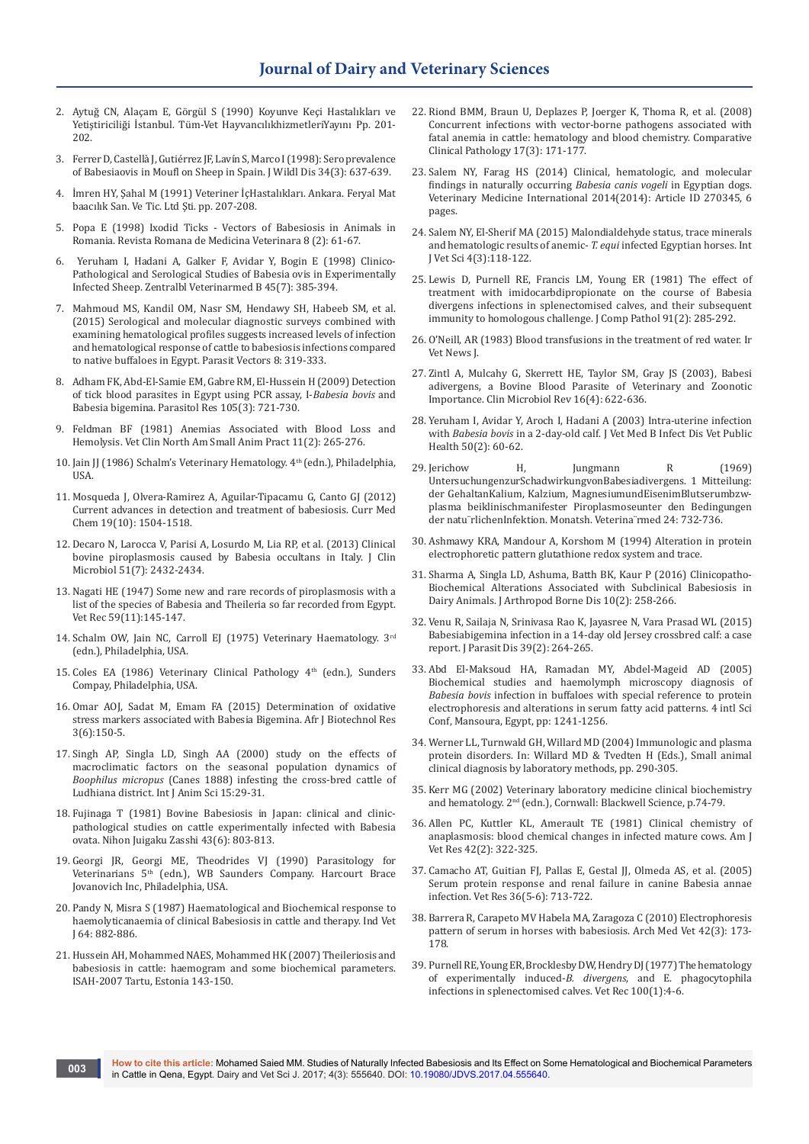- 2. Aytuğ CN, Alaçam E, Görgül S (1990) Koyunve Keçi Hastalıkları ve Yetiştiriciliği İstanbul. Tüm-Vet HayvancılıkhizmetleriYayını Pp. 201- 202.
- 3. Ferrer D, Castellà J, Gutiérrez JF, Lav[ín S, Marco I \(1998\): Sero prevalence](https://www.ncbi.nlm.nih.gov/pubmed/9706577)  [of Babesiaovis in Moufl on Sheep in Spain. J Wildl Dis 34\(3\): 637-639.](https://www.ncbi.nlm.nih.gov/pubmed/9706577)
- 4. İmren HY, Şahal M (1991) Veteriner İçHastalıkları. Ankara. Feryal Mat baacılık San. Ve Tic. Ltd Şti. pp. 207-208.
- 5. Popa E (1998) Ixodid Ticks Vectors of Babesiosis in Animals in Romania. Revista Romana de Medicina Veterinara 8 (2): 61-67.
- 6. [Yeruham I, Hadani A, Galker F, Avidar Y, Bogin E \(1998\) Clinico-](https://www.ncbi.nlm.nih.gov/pubmed/9780825)[Pathological and Serological Studies of Babesia ovis in Experimentally](https://www.ncbi.nlm.nih.gov/pubmed/9780825)  [Infected Sheep. Zentralbl Veterinarmed B 45\(7\): 385-394.](https://www.ncbi.nlm.nih.gov/pubmed/9780825)
- 7. [Mahmoud MS, Kandil OM, Nasr SM, Hendawy SH, Habeeb SM, et al.](https://www.ncbi.nlm.nih.gov/pubmed/26062684)  [\(2015\) Serological and molecular diagnostic surveys combined with](https://www.ncbi.nlm.nih.gov/pubmed/26062684)  [examining hematological profiles suggests increased levels of infection](https://www.ncbi.nlm.nih.gov/pubmed/26062684)  [and hematological response of cattle to babesiosis infections compared](https://www.ncbi.nlm.nih.gov/pubmed/26062684)  [to native buffaloes in Egypt. Parasit Vectors 8: 319-333.](https://www.ncbi.nlm.nih.gov/pubmed/26062684)
- 8. [Adham FK, Abd-El-Samie EM, Gabre RM, El-Hussein H \(2009\) Detection](https://www.ncbi.nlm.nih.gov/pubmed/19415329)  [of tick blood parasites in Egypt using PCR assay, I-](https://www.ncbi.nlm.nih.gov/pubmed/19415329)*Babesia bovis* and [Babesia bigemina. Parasitol Res 105\(3\): 721-730.](https://www.ncbi.nlm.nih.gov/pubmed/19415329)
- 9. [Feldman BF \(1981\) Anemias Associated with Blood Loss and](https://www.ncbi.nlm.nih.gov/pubmed/6976033)  [Hemolysis. Vet Clin North Am Small Anim Pract 11\(2\): 265-276.](https://www.ncbi.nlm.nih.gov/pubmed/6976033)
- 10. Jain JJ (1986) Schalm's Veterinary Hematology. 4<sup>th</sup> (edn.), Philadelphia, USA.
- 11. [Mosqueda J, Olvera-Ramirez A, Aguilar-Tipacamu G, Canto GJ \(2012\)](https://www.ncbi.nlm.nih.gov/pubmed/22360483)  [Current advances in detection and treatment of babesiosis. Curr Med](https://www.ncbi.nlm.nih.gov/pubmed/22360483)  [Chem 19\(10\): 1504-1518.](https://www.ncbi.nlm.nih.gov/pubmed/22360483)
- 12. [Decaro N, Larocca V, Parisi A, Losurdo M, Lia RP, et al. \(2013\) Clinical](https://www.ncbi.nlm.nih.gov/pubmed/23658262/)  [bovine piroplasmosis caused by Babesia occultans in Italy. J Clin](https://www.ncbi.nlm.nih.gov/pubmed/23658262/)  [Microbiol 51\(7\): 2432-2434.](https://www.ncbi.nlm.nih.gov/pubmed/23658262/)
- 13. [Nagati HE \(1947\) Some new and rare records of piroplasmosis with a](https://www.ncbi.nlm.nih.gov/pubmed/20295968)  [list of the species of Babesia and Theileria so far recorded from Egypt.](https://www.ncbi.nlm.nih.gov/pubmed/20295968)  [Vet Rec 59\(11\):145-147.](https://www.ncbi.nlm.nih.gov/pubmed/20295968)
- 14. Schalm OW, Jain NC, Carroll EJ (1975) Veterinary Haematology. 3rd (edn.), Philadelphia, USA.
- 15. Coles EA (1986) Veterinary Clinical Pathology 4<sup>th</sup> (edn.), Sunders Compay, Philadelphia, USA.
- 16. [Omar AOJ, Sadat M, Emam FA \(2015\) Determination of oxidative](http://internationalscholarsjournals.org/download.php?id=838698939907244626.pdf&type=application/pdf&op=1)  [stress markers associated with Babesia Bigemina. Afr J Biotechnol Res](http://internationalscholarsjournals.org/download.php?id=838698939907244626.pdf&type=application/pdf&op=1)  [3\(6\):150-5.](http://internationalscholarsjournals.org/download.php?id=838698939907244626.pdf&type=application/pdf&op=1)
- 17. Singh AP, Singla LD, Singh AA (2000) study on the effects of macroclimatic factors on the seasonal population dynamics of *Boophilus micropus* (Canes 1888) infesting the cross-bred cattle of Ludhiana district. Int J Anim Sci 15:29-31.
- 18. [Fujinaga T \(1981\) Bovine Babesiosis in Japan: clinical and clinic](https://www.ncbi.nlm.nih.gov/pubmed/7343692)[pathological studies on cattle experimentally infected with Babesia](https://www.ncbi.nlm.nih.gov/pubmed/7343692)  [ovata. Nihon Juigaku Zasshi 43\(6\): 803-813.](https://www.ncbi.nlm.nih.gov/pubmed/7343692)
- 19. Georgi JR, Georgi ME, Theodrides VJ (1990) Parasitology for Veterinarians 5th (edn.), WB Saunders Company. Harcourt Brace Jovanovich Inc, Philadelphia, USA.
- 20. Pandy N, Misra S (1987) Haematological and Biochemical response to haemolyticanaemia of clinical Babesiosis in cattle and therapy. Ind Vet J 64: 882-886.
- 21. [Hussein AH, Mohammed NAES, Mohammed HK \(2007\) Theileriosis and](https://www.isah-soc.org/userfiles/downloads/proceedings/Proc_ISAH_2007_Volume_I/24_Hultgren.pdf)  [babesiosis in cattle: haemogram and some biochemical parameters.](https://www.isah-soc.org/userfiles/downloads/proceedings/Proc_ISAH_2007_Volume_I/24_Hultgren.pdf)  [ISAH-2007 Tartu, Estonia 143-150.](https://www.isah-soc.org/userfiles/downloads/proceedings/Proc_ISAH_2007_Volume_I/24_Hultgren.pdf)
- 22. [Riond BMM, Braun U, Deplazes P, Joerger K, Thoma R, et al. \(2008\)](https://link.springer.com/article/10.1007%2Fs00580-007-0713-z)  [Concurrent infections with vector-borne pathogens associated with](https://link.springer.com/article/10.1007%2Fs00580-007-0713-z)  [fatal anemia in cattle: hematology and blood chemistry. Comparative](https://link.springer.com/article/10.1007%2Fs00580-007-0713-z)  [Clinical Pathology 17\(3\): 171-177.](https://link.springer.com/article/10.1007%2Fs00580-007-0713-z)
- 23. [Salem NY, Farag HS \(2014\) Clinical, hematologic, and molecular](https://www.hindawi.com/journals/vmi/2014/270345/)  [findings in naturally occurring](https://www.hindawi.com/journals/vmi/2014/270345/) *Babesia canis vogeli* in Egyptian dogs. [Veterinary Medicine International 2014\(2014\): Article ID 270345, 6](https://www.hindawi.com/journals/vmi/2014/270345/)  [pages.](https://www.hindawi.com/journals/vmi/2014/270345/)
- 24. [Salem NY, El-Sherif MA \(2015\) Malondialdehyde status, trace minerals](https://www.cabdirect.org/cabdirect/abstract/20153378637)  [and hematologic results of anemic-](https://www.cabdirect.org/cabdirect/abstract/20153378637) *T. equi* infected Egyptian horses. Int [J Vet Sci 4\(3\):118-122.](https://www.cabdirect.org/cabdirect/abstract/20153378637)
- 25. [Lewis D, Purnell RE, Francis LM, Young ER \(1981\) The effect of](https://www.ncbi.nlm.nih.gov/pubmed/7345111)  [treatment with imidocarbdipropionate on the course of Babesia](https://www.ncbi.nlm.nih.gov/pubmed/7345111)  [divergens infections in splenectomised calves, and their subsequent](https://www.ncbi.nlm.nih.gov/pubmed/7345111)  [immunity to homologous challenge. J Comp Pathol 91\(2\): 285-292.](https://www.ncbi.nlm.nih.gov/pubmed/7345111)
- 26. O'Neill, AR (1983) Blood transfusions in the treatment of red water. Ir Vet News J.
- 27. [Zintl A, Mulcahy G, Skerrett HE, Taylor SM, Gray JS \(2003\), Babesi](https://www.ncbi.nlm.nih.gov/pubmed/14557289)  [adivergens, a Bovine Blood Parasite of Veterinary and Zoonotic](https://www.ncbi.nlm.nih.gov/pubmed/14557289)  [Importance. Clin Microbiol Rev 16\(4\): 622-636.](https://www.ncbi.nlm.nih.gov/pubmed/14557289)
- 28. [Yeruham I, Avidar Y, Aroch I, Hadani A \(2003\) Intra-uterine infection](https://www.ncbi.nlm.nih.gov/pubmed/12675895)  with *Babesia bovis* [in a 2-day-old calf. J Vet Med B Infect Dis Vet Public](https://www.ncbi.nlm.nih.gov/pubmed/12675895)  [Health 50\(2\): 60-62.](https://www.ncbi.nlm.nih.gov/pubmed/12675895)
- 29. Jerichow H, Jungmann R (1969) UntersuchungenzurSchadwirkungvonBabesiadivergens. 1 Mitteilung: der GehaltanKalium, Kalzium, MagnesiumundEisenimBlutserumbzwplasma beiklinischmanifester Piroplasmoseunter den Bedingungen der natu¨rlichenInfektion. Monatsh. Veterina¨rmed 24: 732-736.
- 30. Ashmawy KRA, Mandour A, Korshom M (1994) Alteration in protein electrophoretic pattern glutathione redox system and trace.
- 31. [Sharma A, Singla LD, Ashuma, Batth BK, Kaur P \(2016\) Clinicopatho-](https://www.ncbi.nlm.nih.gov/pubmed/27308284/)[Biochemical Alterations Associated with Subclinical Babesiosis in](https://www.ncbi.nlm.nih.gov/pubmed/27308284/)  [Dairy Animals. J Arthropod Borne Dis 10\(2\): 258-266.](https://www.ncbi.nlm.nih.gov/pubmed/27308284/)
- 32. [Venu R, Sailaja N, Srinivasa Rao K, Jayasree N, Vara Prasad WL \(2015\)](https://www.ncbi.nlm.nih.gov/pubmed/26064014/)  [Babesiabigemina infection in a 14-day old Jersey crossbred calf: a case](https://www.ncbi.nlm.nih.gov/pubmed/26064014/)  [report. J Parasit Dis 39\(2\): 264-265.](https://www.ncbi.nlm.nih.gov/pubmed/26064014/)
- 33. Abd El-Maksoud HA, Ramadan MY, Abdel-Mageid AD (2005) Biochemical studies and haemolymph microscopy diagnosis of *Babesia bovis* infection in buffaloes with special reference to protein electrophoresis and alterations in serum fatty acid patterns. 4 intl Sci Conf, Mansoura, Egypt, pp: 1241-1256.
- 34. Werner LL, Turnwald GH, Willard MD (2004) Immunologic and plasma protein disorders. In: Willard MD & Tvedten H (Eds.), Small animal clinical diagnosis by laboratory methods, pp. 290-305.
- 35. Kerr MG (2002) Veterinary laboratory medicine clinical biochemistry and hematology. 2nd (edn.), Cornwall: Blackwell Science, p.74-79.
- 36. [Allen PC, Kuttler KL, Amerault TE \(1981\) Clinical chemistry of](https://www.ncbi.nlm.nih.gov/pubmed/7258783)  [anaplasmosis: blood chemical changes in infected mature cows. Am J](https://www.ncbi.nlm.nih.gov/pubmed/7258783)  [Vet Res 42\(2\): 322-325.](https://www.ncbi.nlm.nih.gov/pubmed/7258783)
- 37. [Camacho AT, Guitian FJ, Pallas E, Gestal JJ, Olmeda AS, et al. \(2005\)](https://hal.archives-ouvertes.fr/hal-00902994/document)  [Serum protein response and renal failure in canine Babesia annae](https://hal.archives-ouvertes.fr/hal-00902994/document)  [infection. Vet Res 36\(5-6\): 713-722.](https://hal.archives-ouvertes.fr/hal-00902994/document)
- 38. [Barrera R, Carapeto MV Habela MA, Zaragoza C \(2010\) Electrophoresis](http://www.scielo.cl/scielo.php?pid=S0301-732X2010000300008&script=sci_abstract&tlng=en)  [pattern of serum in horses with babesiosis. Arch Med Vet 42\(3\): 173-](http://www.scielo.cl/scielo.php?pid=S0301-732X2010000300008&script=sci_abstract&tlng=en) [178.](http://www.scielo.cl/scielo.php?pid=S0301-732X2010000300008&script=sci_abstract&tlng=en)
- 39. [Purnell RE, Young ER, Brocklesby DW, Hendry DJ \(1977\) The hematology](http://europepmc.org/abstract/med/576085)  [of experimentally induced-](http://europepmc.org/abstract/med/576085)*B. divergens*, and E. phagocytophila [infections in splenectomised calves. Vet Rec 100\(1\):4-6.](http://europepmc.org/abstract/med/576085)